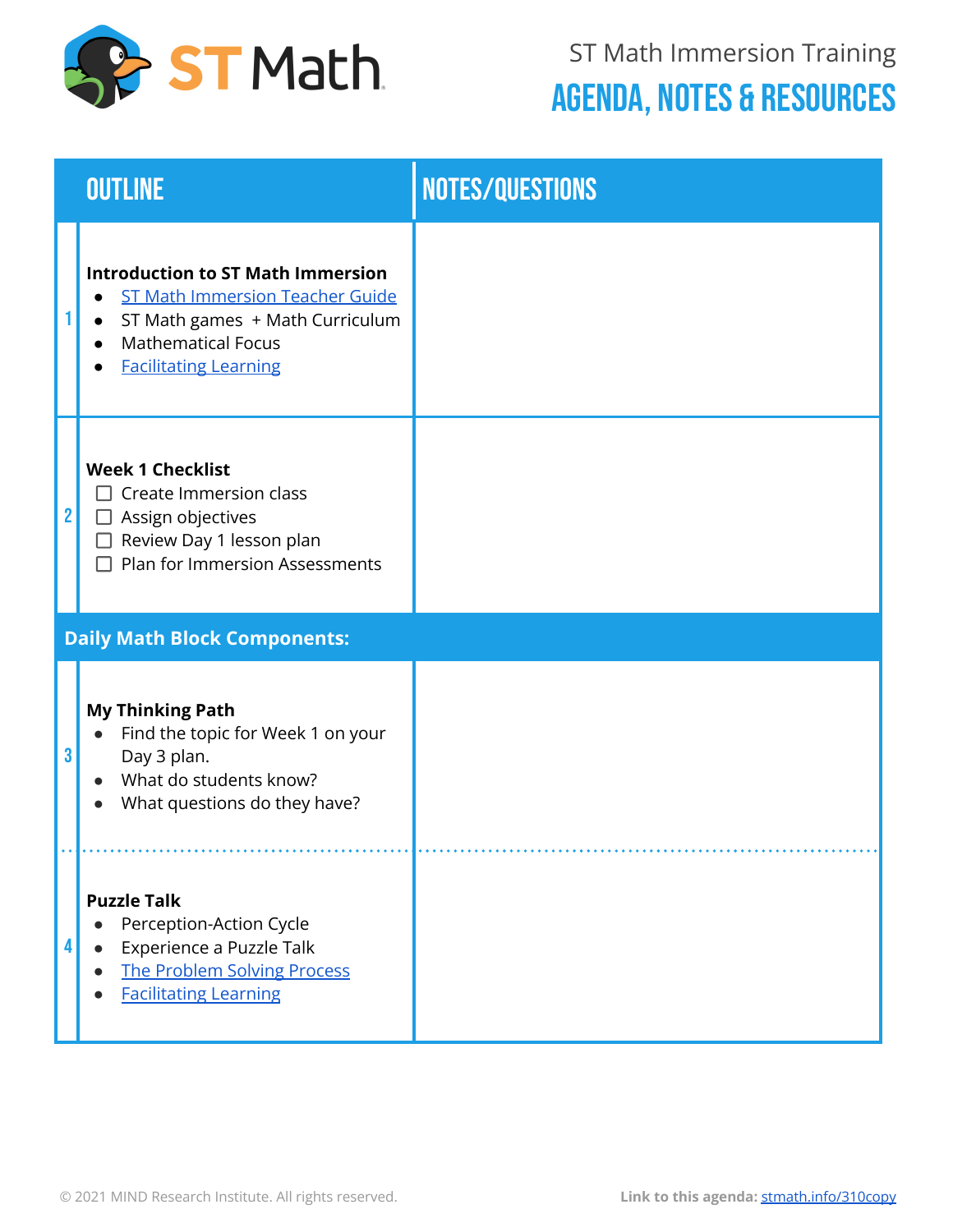

|                | <b>OUTLINE</b>                                                                                                                                                                     | <b>NOTES/QUESTIONS</b> |
|----------------|------------------------------------------------------------------------------------------------------------------------------------------------------------------------------------|------------------------|
|                | <b>Introduction to ST Math Immersion</b><br><b>ST Math Immersion Teacher Guide</b><br>ST Math games + Math Curriculum<br><b>Mathematical Focus</b><br><b>Facilitating Learning</b> |                        |
| $\overline{2}$ | <b>Week 1 Checklist</b><br>$\Box$ Create Immersion class<br>$\Box$ Assign objectives<br>Review Day 1 lesson plan<br>Plan for Immersion Assessments                                 |                        |
|                | <b>Daily Math Block Components:</b>                                                                                                                                                |                        |
| 3              | <b>My Thinking Path</b><br>Find the topic for Week 1 on your<br>Day 3 plan.<br>What do students know?<br>What questions do they have?                                              |                        |
| Δ              | <b>Puzzle Talk</b><br>Perception-Action Cycle<br>Experience a Puzzle Talk<br>The Problem Solving Process<br><b>Facilitating Learning</b>                                           |                        |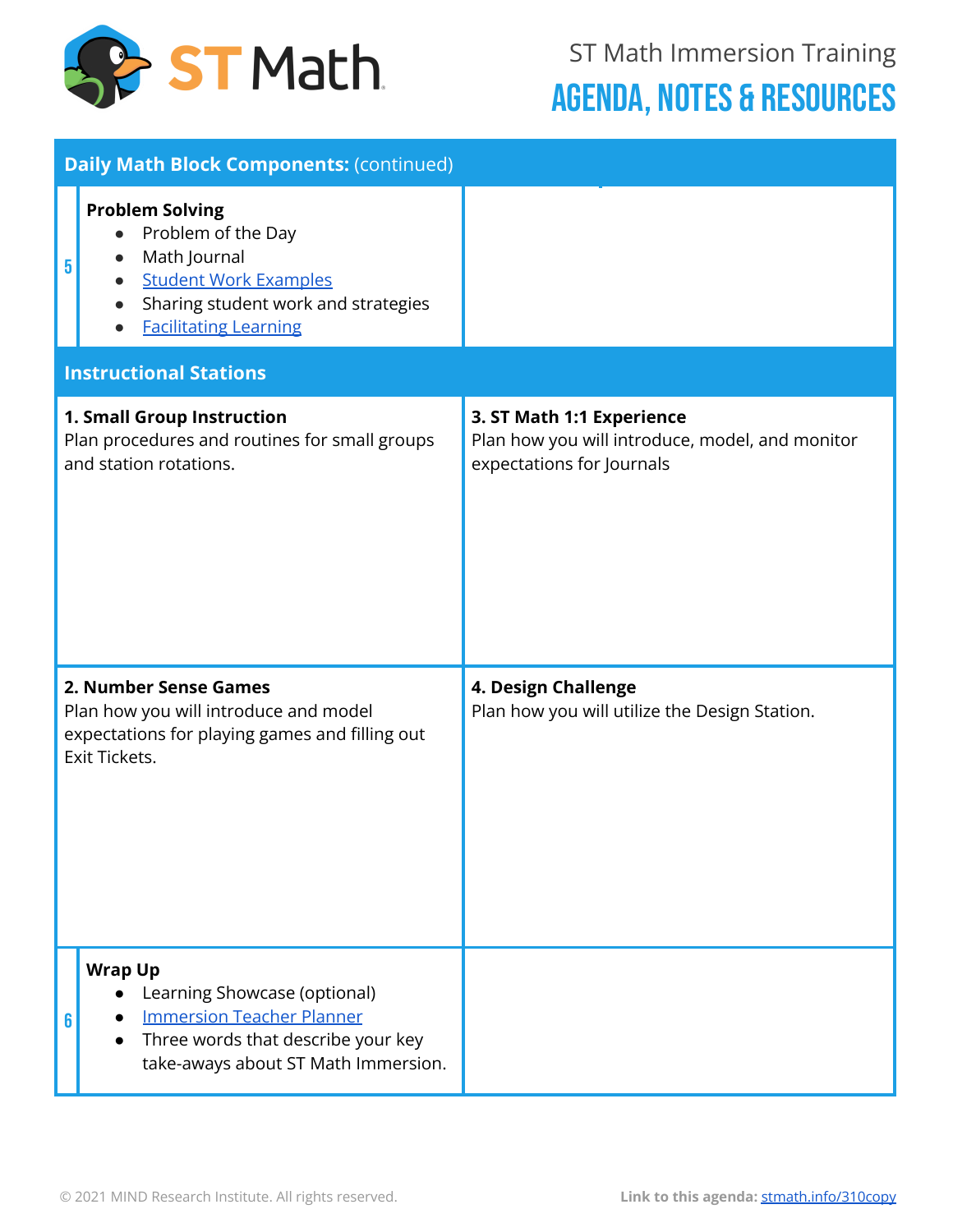

|                                                                                                                                   | <b>Daily Math Block Components: (continued)</b>                                                                                                                                               |                                                                                                           |  |  |  |
|-----------------------------------------------------------------------------------------------------------------------------------|-----------------------------------------------------------------------------------------------------------------------------------------------------------------------------------------------|-----------------------------------------------------------------------------------------------------------|--|--|--|
| 5                                                                                                                                 | <b>Problem Solving</b><br>Problem of the Day<br>$\bullet$<br>Math Journal<br>$\bullet$<br><b>Student Work Examples</b><br>Sharing student work and strategies<br><b>Facilitating Learning</b> |                                                                                                           |  |  |  |
|                                                                                                                                   | <b>Instructional Stations</b>                                                                                                                                                                 |                                                                                                           |  |  |  |
|                                                                                                                                   | 1. Small Group Instruction<br>Plan procedures and routines for small groups<br>and station rotations.                                                                                         | 3. ST Math 1:1 Experience<br>Plan how you will introduce, model, and monitor<br>expectations for Journals |  |  |  |
| 2. Number Sense Games<br>Plan how you will introduce and model<br>expectations for playing games and filling out<br>Exit Tickets. |                                                                                                                                                                                               | 4. Design Challenge<br>Plan how you will utilize the Design Station.                                      |  |  |  |
|                                                                                                                                   | <b>Wrap Up</b><br>Learning Showcase (optional)<br><b>Immersion Teacher Planner</b><br>Three words that describe your key<br>take-aways about ST Math Immersion.                               |                                                                                                           |  |  |  |